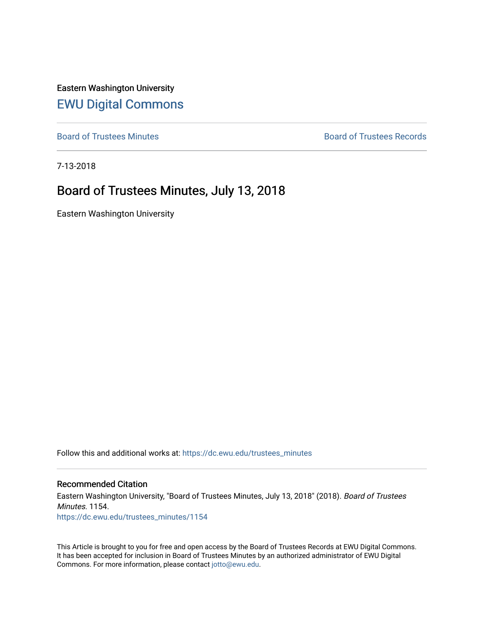Eastern Washington University [EWU Digital Commons](https://dc.ewu.edu/)

[Board of Trustees Minutes](https://dc.ewu.edu/trustees_minutes) **Board of Trustees Records Board of Trustees Records** 

7-13-2018

### Board of Trustees Minutes, July 13, 2018

Eastern Washington University

Follow this and additional works at: [https://dc.ewu.edu/trustees\\_minutes](https://dc.ewu.edu/trustees_minutes?utm_source=dc.ewu.edu%2Ftrustees_minutes%2F1154&utm_medium=PDF&utm_campaign=PDFCoverPages) 

#### Recommended Citation

Eastern Washington University, "Board of Trustees Minutes, July 13, 2018" (2018). Board of Trustees Minutes. 1154. [https://dc.ewu.edu/trustees\\_minutes/1154](https://dc.ewu.edu/trustees_minutes/1154?utm_source=dc.ewu.edu%2Ftrustees_minutes%2F1154&utm_medium=PDF&utm_campaign=PDFCoverPages) 

This Article is brought to you for free and open access by the Board of Trustees Records at EWU Digital Commons. It has been accepted for inclusion in Board of Trustees Minutes by an authorized administrator of EWU Digital Commons. For more information, please contact [jotto@ewu.edu.](mailto:jotto@ewu.edu)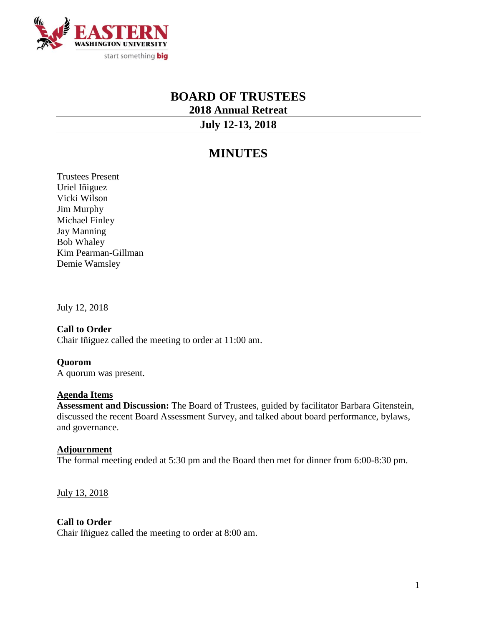

# **BOARD OF TRUSTEES 2018 Annual Retreat**

**July 12-13, 2018**

## **MINUTES**

Trustees Present Uriel Iñiguez Vicki Wilson Jim Murphy Michael Finley Jay Manning Bob Whaley Kim Pearman-Gillman Demie Wamsley

July 12, 2018

**Call to Order** Chair Iñiguez called the meeting to order at 11:00 am.

**Quorom** A quorum was present.

#### **Agenda Items**

**Assessment and Discussion:** The Board of Trustees, guided by facilitator Barbara Gitenstein, discussed the recent Board Assessment Survey, and talked about board performance, bylaws, and governance.

#### **Adjournment**

The formal meeting ended at 5:30 pm and the Board then met for dinner from 6:00-8:30 pm.

July 13, 2018

#### **Call to Order**

Chair Iñiguez called the meeting to order at 8:00 am.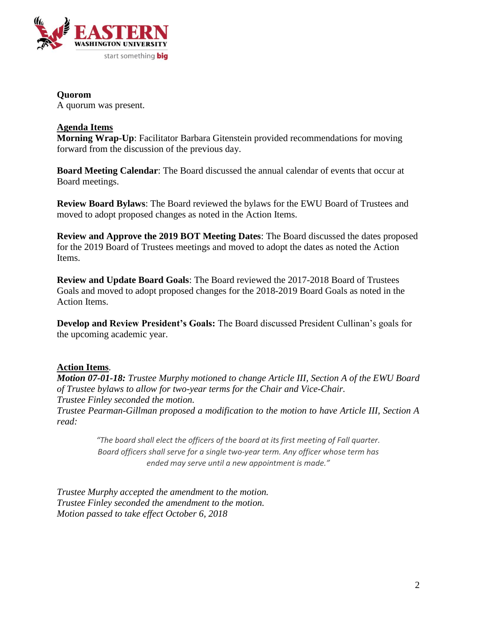

### **Quorom**

A quorum was present.

#### **Agenda Items**

**Morning Wrap-Up**: Facilitator Barbara Gitenstein provided recommendations for moving forward from the discussion of the previous day.

**Board Meeting Calendar**: The Board discussed the annual calendar of events that occur at Board meetings.

**Review Board Bylaws**: The Board reviewed the bylaws for the EWU Board of Trustees and moved to adopt proposed changes as noted in the Action Items.

**Review and Approve the 2019 BOT Meeting Dates**: The Board discussed the dates proposed for the 2019 Board of Trustees meetings and moved to adopt the dates as noted the Action Items.

**Review and Update Board Goals**: The Board reviewed the 2017-2018 Board of Trustees Goals and moved to adopt proposed changes for the 2018-2019 Board Goals as noted in the Action Items.

**Develop and Review President's Goals:** The Board discussed President Cullinan's goals for the upcoming academic year.

#### **Action Items**.

*Motion 07-01-18: Trustee Murphy motioned to change Article III, Section A of the EWU Board of Trustee bylaws to allow for two-year terms for the Chair and Vice-Chair. Trustee Finley seconded the motion.*

*Trustee Pearman-Gillman proposed a modification to the motion to have Article III, Section A read:*

> *"The board shall elect the officers of the board at its first meeting of Fall quarter. Board officers shall serve for a single two-year term. Any officer whose term has ended may serve until a new appointment is made."*

*Trustee Murphy accepted the amendment to the motion. Trustee Finley seconded the amendment to the motion. Motion passed to take effect October 6, 2018*